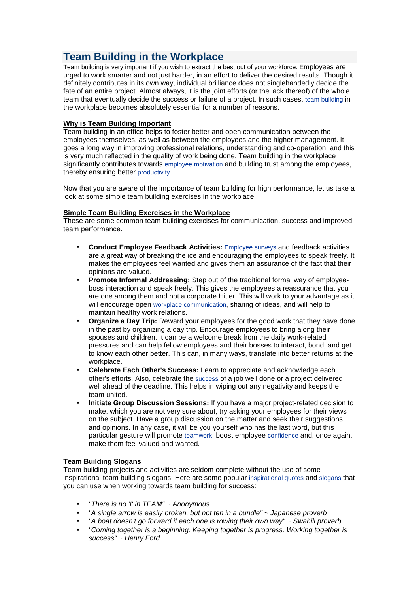## **Team Building in the Workplace**

Team building is very important if you wish to extract the best out of your workforce. Employees are urged to work smarter and not just harder, in an effort to deliver the desired results. Though it definitely contributes in its own way, individual brilliance does not singlehandedly decide the fate of an entire project. Almost always, it is the joint efforts (or the lack thereof) of the whole team that eventually decide the success or failure of a project. In such cases, team building in the workplace becomes absolutely essential for a number of reasons.

## **Why is Team Building Important**

Team building in an office helps to foster better and open communication between the employees themselves, as well as between the employees and the higher management. It goes a long way in improving professional relations, understanding and co-operation, and this is very much reflected in the quality of work being done. Team building in the workplace significantly contributes towards employee motivation and building trust among the employees, thereby ensuring better productivity.

Now that you are aware of the importance of team building for high performance, let us take a look at some simple team building exercises in the workplace:

## **Simple Team Building Exercises in the Workplace**

These are some common team building exercises for communication, success and improved team performance.

- **Conduct Employee Feedback Activities:** Employee surveys and feedback activities are a great way of breaking the ice and encouraging the employees to speak freely. It makes the employees feel wanted and gives them an assurance of the fact that their opinions are valued.
- **Promote Informal Addressing:** Step out of the traditional formal way of employeeboss interaction and speak freely. This gives the employees a reassurance that you are one among them and not a corporate Hitler. This will work to your advantage as it will encourage open workplace communication, sharing of ideas, and will help to maintain healthy work relations.
- **Organize a Day Trip:** Reward your employees for the good work that they have done in the past by organizing a day trip. Encourage employees to bring along their spouses and children. It can be a welcome break from the daily work-related pressures and can help fellow employees and their bosses to interact, bond, and get to know each other better. This can, in many ways, translate into better returns at the workplace.
- **Celebrate Each Other's Success:** Learn to appreciate and acknowledge each other's efforts. Also, celebrate the success of a job well done or a project delivered well ahead of the deadline. This helps in wiping out any negativity and keeps the team united.
- **Initiate Group Discussion Sessions:** If you have a major project-related decision to make, which you are not very sure about, try asking your employees for their views on the subject. Have a group discussion on the matter and seek their suggestions and opinions. In any case, it will be you yourself who has the last word, but this particular gesture will promote teamwork, boost employee confidence and, once again, make them feel valued and wanted.

## **Team Building Slogans**

Team building projects and activities are seldom complete without the use of some inspirational team building slogans. Here are some popular inspirational quotes and slogans that you can use when working towards team building for success:

- "There is no 'I' in TEAM" ~ Anonymous
- "A single arrow is easily broken, but not ten in a bundle" ~ Japanese proverb
- "A boat doesn't go forward if each one is rowing their own way"  $\sim$  Swahili proverb
- "Coming together is a beginning. Keeping together is progress. Working together is success" ~ Henry Ford